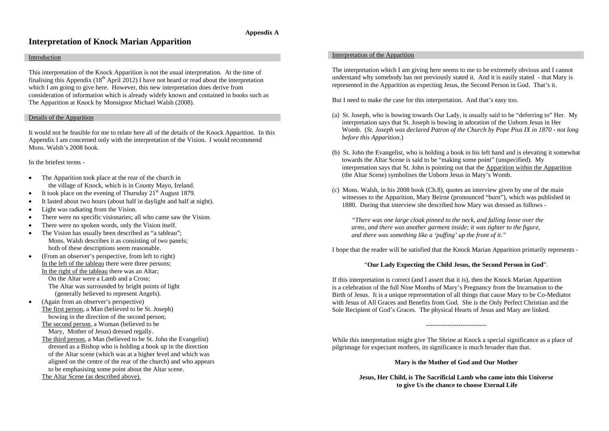# **Appendix A**

# **Interpretation of Knock Marian Apparition**

#### Introduction

This interpretation of the Knock Apparition is not the usual interpretation. At the time of finalising this Appendix  $(18<sup>th</sup>$  April 2012) I have not heard or read about the interpretation which I am going to give here. However, this new interpretation does derive from consideration of information which is already widely known and contained in books such as The Apparition at Knock by Monsignor Michael Walsh (2008).

## Details of the Apparition

It would not be feasible for me to relate here all of the details of the Knock Apparition. In this Appendix I am concerned only with the interpretation of the Vision. I would recommend Mons. Walsh's 2008 book.

In the briefest terms -

- • The Apparition took place at the rear of the church in the village of Knock, which is in County Mayo, Ireland.
- •It took place on the evening of Thursday  $21<sup>st</sup>$  August 1879.
- •It lasted about two hours (about half in daylight and half at night).
- •Light was radiating from the Vision.
- •There were no specific visionaries; all who came saw the Vision.
- •There were no spoken words, only the Vision itself.
- • The Vision has usually been described as "a tableau"; Mons. Walsh describes it as consisting of two panels; both of these descriptions seem reasonable.
- • (From an observer's perspective, from left to right) In the left of the tableau there were three persons; In the right of the tableau there was an Altar; On the Altar were a Lamb and a Cross; The Altar was surrounded by bright points of light (generally believed to represent Angels).
- • (Again from an observer's perspective) The first person, a Man (believed to be St. Joseph) bowing in the direction of the second person;

The second person, a Woman (believed to be Mary, Mother of Jesus) dressed regally.

The third person, a Man (believed to be St. John the Evangelist) dressed as a Bishop who is holding a book up in the direction of the Altar scene (which was at a higher level and which was aligned on the centre of the rear of the church) and who appears to be emphasising some point about the Altar scene.

The Altar Scene (as described above).

## Interpretation of the Apparition

The interpretation which I am giving here seems to me to be extremely obvious and I cannot understand why somebody has not previously stated it. And it is easily stated - that Mary is represented in the Apparition as expecting Jesus, the Second Person in God. That's it.

But I need to make the case for this interpretation. And that's easy too.

- (a) St. Joseph, who is bowing towards Our Lady, is usually said to be "deferring to" Her. My interpretation says that St. Joseph is bowing in adoration of the Unborn Jesus in Her Womb. (*St. Joseph was declared Patron of the Church by Pope Pius IX in 1870 - not long before this Apparition*.)
- (b) St. John the Evangelist, who is holding a book in his left hand and is elevating it somewhat towards the Altar Scene is said to be "making some point" (unspecified). My interpretation says that St. John is pointing out that the Apparition within the Apparition (the Altar Scene) symbolises the Unborn Jesus in Mary's Womb.
- (c) Mons. Walsh, in his 2008 book (Ch.8), quotes an interview given by one of the main witnesses to the Apparition, Mary Beirne (pronounced "burn"), which was published in 1880. During that interview she described how Mary was dressed as follows -

*"There was one large cloak pinned to the neck, and falling loose over the arms, and there was another garment inside; it was tighter to the figure, and there was something like a 'puffing' up the front of it."*

I hope that the reader will be satisfied that the Knock Marian Apparition primarily represents -

# "**Our Lady Expecting the Child Jesus, the Second Person in God**".

If this interpretation is correct (and I assert that it is), then the Knock Marian Apparition is a celebration of the full Nine Months of Mary's Pregnancy from the Incarnation to the Birth of Jesus. It is a unique representation of all things that cause Mary to be Co-Mediator with Jesus of All Graces and Benefits from God. She is the Only Perfect Christian and the Sole Recipient of God's Graces. The physical Hearts of Jesus and Mary are linked.

While this interpretation might give The Shrine at Knock a special significance as a place of pilgrimage for expectant mothers, its significance is much broader than that.

**Mary is the Mother of God and Our Mother**

**Jesus, Her Child, is The Sacrificial Lamb who came into this Universe to give Us the chance to choose Eternal Life**